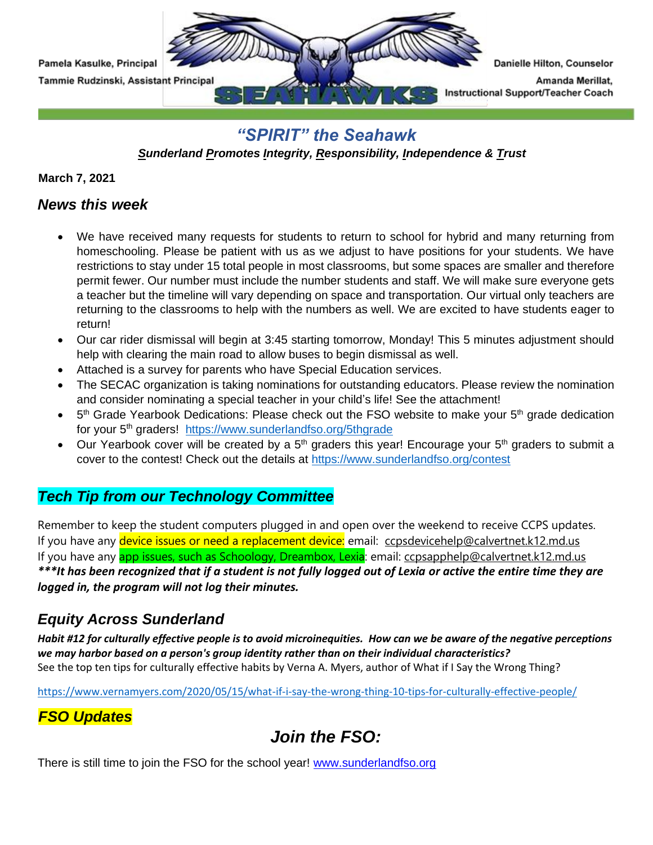

### *"SPIRIT" the Seahawk*

*Sunderland Promotes Integrity, Responsibility, Independence & Trust* 

**March 7, 2021**

### *News this week*

- We have received many requests for students to return to school for hybrid and many returning from homeschooling. Please be patient with us as we adjust to have positions for your students. We have restrictions to stay under 15 total people in most classrooms, but some spaces are smaller and therefore permit fewer. Our number must include the number students and staff. We will make sure everyone gets a teacher but the timeline will vary depending on space and transportation. Our virtual only teachers are returning to the classrooms to help with the numbers as well. We are excited to have students eager to return!
- Our car rider dismissal will begin at 3:45 starting tomorrow, Monday! This 5 minutes adjustment should help with clearing the main road to allow buses to begin dismissal as well.
- Attached is a survey for parents who have Special Education services.
- The SECAC organization is taking nominations for outstanding educators. Please review the nomination and consider nominating a special teacher in your child's life! See the attachment!
- $\bullet$  5<sup>th</sup> Grade Yearbook Dedications: Please check out the FSO website to make your 5<sup>th</sup> grade dedication for your 5<sup>th</sup> graders! <https://www.sunderlandfso.org/5thgrade>
- Our Yearbook cover will be created by a  $5<sup>th</sup>$  graders this year! Encourage your  $5<sup>th</sup>$  graders to submit a cover to the contest! Check out the details at<https://www.sunderlandfso.org/contest>

### *Tech Tip from our Technology Committee*

Remember to keep the student computers plugged in and open over the weekend to receive CCPS updates. If you have any device issues or need a replacement device: email: [ccpsdevicehelp@calvertnet.k12.md.us](mailto:ccpsdevicehelp@calvertnet.k12.md.us) If you have any **app issues, such as Schoology, Dreambox, Lexia**: email: [ccpsapphelp@calvertnet.k12.md.us](mailto:ccpsapphelp@calvertnet.k12.md.us) *\*\*\*It has been recognized that if a student is not fully logged out of Lexia or active the entire time they are logged in, the program will not log their minutes.*

## *Equity Across Sunderland*

*Habit #12 for culturally effective people is to avoid microinequities. How can we be aware of the negative perceptions we may harbor based on a person's group identity rather than on their individual characteristics?* See the top ten tips for culturally effective habits by Verna A. Myers, author of What if I Say the Wrong Thing?

[https://www.vernamyers.com/2020/05/15/what-if-i-say-the-wrong-thing-10-tips-for-culturally-effective-people/](https://nam02.safelinks.protection.outlook.com/?url=https%3A%2F%2Fwww.vernamyers.com%2F2020%2F05%2F15%2Fwhat-if-i-say-the-wrong-thing-10-tips-for-culturally-effective-people%2F&data=04%7C01%7CKasulkeP%40calvertnet.k12.md.us%7Cfe4b31fe81a1430a944e08d8881491d7%7C022d9fca60a34aac9a90c18e51ac527e%7C0%7C0%7C637408969222591896%7CUnknown%7CTWFpbGZsb3d8eyJWIjoiMC4wLjAwMDAiLCJQIjoiV2luMzIiLCJBTiI6Ik1haWwiLCJXVCI6Mn0%3D%7C1000&sdata=jpROXnbwgGd1nuLIoNsX6PSfmMv%2FjtcNCMEgZHXHnS8%3D&reserved=0)

## *FSO Updates*

# *Join the FSO:*

There is still time to join the FSO for the school year! [www.sunderlandfso.org](https://nam02.safelinks.protection.outlook.com/?url=http%3A%2F%2Fwww.sunderlandfso.org%2F&data=04%7C01%7CKasulkeP%40calvertnet.k12.md.us%7C06c904ff24d14d2ad03908d8bee0fb37%7C022d9fca60a34aac9a90c18e51ac527e%7C0%7C0%7C637469220789384084%7CUnknown%7CTWFpbGZsb3d8eyJWIjoiMC4wLjAwMDAiLCJQIjoiV2luMzIiLCJBTiI6Ik1haWwiLCJXVCI6Mn0%3D%7C1000&sdata=3WYuf%2BALpQXsIJxNXbwCm49tbx%2BFQdvgAklmY%2F%2Fb1r8%3D&reserved=0)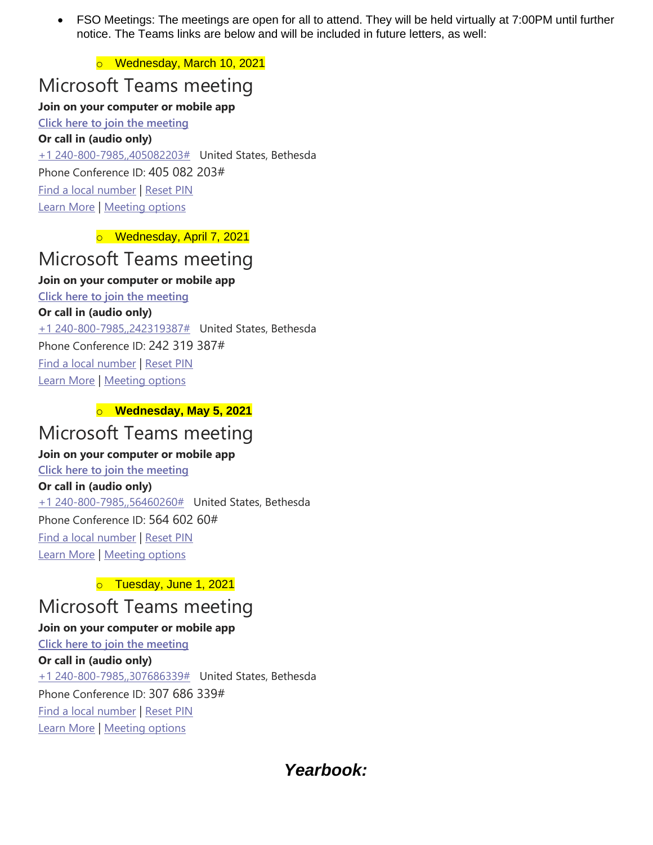• FSO Meetings: The meetings are open for all to attend. They will be held virtually at 7:00PM until further notice. The Teams links are below and will be included in future letters, as well:

o Wednesday, March 10, 2021

## Microsoft Teams meeting

#### **Join on your computer or mobile app**

**[Click here to join the meeting](https://teams.microsoft.com/l/meetup-join/19%3ameeting_NWY5ZTkxYTEtOTIzMS00NTRkLTk3MGUtMjhlOTIxZTNmMjRh%40thread.v2/0?context=%7b%22Tid%22%3a%22022d9fca-60a3-4aac-9a90-c18e51ac527e%22%2c%22Oid%22%3a%2249a2b8d9-ffb0-4378-8eab-b96180abd1d7%22%7d) Or call in (audio only)** [+1 240-800-7985,,405082203#](tel:+12408007985,,405082203# ) United States, Bethesda Phone Conference ID: 405 082 203# [Find a local number](https://dialin.teams.microsoft.com/76e85d79-b711-4fb2-8c7e-13d31296aeaf?id=405082203) | [Reset PIN](https://mysettings.lync.com/pstnconferencing) [Learn More](https://aka.ms/JoinTeamsMeeting) | [Meeting options](https://teams.microsoft.com/meetingOptions/?organizerId=49a2b8d9-ffb0-4378-8eab-b96180abd1d7&tenantId=022d9fca-60a3-4aac-9a90-c18e51ac527e&threadId=19_meeting_NWY5ZTkxYTEtOTIzMS00NTRkLTk3MGUtMjhlOTIxZTNmMjRh@thread.v2&messageId=0&language=en-US)

o Wednesday, April 7, 2021

# Microsoft Teams meeting

#### **Join on your computer or mobile app**

**[Click here to join the meeting](https://teams.microsoft.com/l/meetup-join/19%3ameeting_MjIxZTNiMDYtYTRmZC00OThiLTkxOTItMzljMjU0MWY5ZGE5%40thread.v2/0?context=%7b%22Tid%22%3a%22022d9fca-60a3-4aac-9a90-c18e51ac527e%22%2c%22Oid%22%3a%2249a2b8d9-ffb0-4378-8eab-b96180abd1d7%22%7d) Or call in (audio only)** [+1 240-800-7985,,242319387#](tel:+12408007985,,242319387# ) United States, Bethesda Phone Conference ID: 242 319 387# [Find a local number](https://dialin.teams.microsoft.com/76e85d79-b711-4fb2-8c7e-13d31296aeaf?id=242319387) | [Reset PIN](https://mysettings.lync.com/pstnconferencing) [Learn More](https://aka.ms/JoinTeamsMeeting) | [Meeting options](https://teams.microsoft.com/meetingOptions/?organizerId=49a2b8d9-ffb0-4378-8eab-b96180abd1d7&tenantId=022d9fca-60a3-4aac-9a90-c18e51ac527e&threadId=19_meeting_MjIxZTNiMDYtYTRmZC00OThiLTkxOTItMzljMjU0MWY5ZGE5@thread.v2&messageId=0&language=en-US)

#### o **Wednesday, May 5, 2021**

## Microsoft Teams meeting

#### **Join on your computer or mobile app**

### **[Click here to join the meeting](https://teams.microsoft.com/l/meetup-join/19%3ameeting_YjFhNzUzNTUtODlhZS00ZGM4LTkxMzctMDA0ZDg1MTgyMWY3%40thread.v2/0?context=%7b%22Tid%22%3a%22022d9fca-60a3-4aac-9a90-c18e51ac527e%22%2c%22Oid%22%3a%2249a2b8d9-ffb0-4378-8eab-b96180abd1d7%22%7d)**

**Or call in (audio only)**

[+1 240-800-7985,,56460260#](tel:+12408007985,,56460260# ) United States, Bethesda Phone Conference ID: 564 602 60# [Find a local number](https://dialin.teams.microsoft.com/76e85d79-b711-4fb2-8c7e-13d31296aeaf?id=56460260) | [Reset PIN](https://mysettings.lync.com/pstnconferencing) [Learn More](https://aka.ms/JoinTeamsMeeting) | [Meeting options](https://teams.microsoft.com/meetingOptions/?organizerId=49a2b8d9-ffb0-4378-8eab-b96180abd1d7&tenantId=022d9fca-60a3-4aac-9a90-c18e51ac527e&threadId=19_meeting_YjFhNzUzNTUtODlhZS00ZGM4LTkxMzctMDA0ZDg1MTgyMWY3@thread.v2&messageId=0&language=en-US)

#### o Tuesday, June 1, 2021

## Microsoft Teams meeting

### **Join on your computer or mobile app**

**[Click here to join the meeting](https://teams.microsoft.com/l/meetup-join/19%3ameeting_YTFhNWMzMDgtNWVhMi00NGJkLTlmYTMtNTBmMDI0YmRjZDRh%40thread.v2/0?context=%7b%22Tid%22%3a%22022d9fca-60a3-4aac-9a90-c18e51ac527e%22%2c%22Oid%22%3a%2249a2b8d9-ffb0-4378-8eab-b96180abd1d7%22%7d) Or call in (audio only)** [+1 240-800-7985,,307686339#](tel:+12408007985,,307686339# ) United States, Bethesda Phone Conference ID: 307 686 339# [Find a local number](https://dialin.teams.microsoft.com/76e85d79-b711-4fb2-8c7e-13d31296aeaf?id=307686339) | [Reset PIN](https://mysettings.lync.com/pstnconferencing) [Learn More](https://aka.ms/JoinTeamsMeeting) | [Meeting options](https://teams.microsoft.com/meetingOptions/?organizerId=49a2b8d9-ffb0-4378-8eab-b96180abd1d7&tenantId=022d9fca-60a3-4aac-9a90-c18e51ac527e&threadId=19_meeting_YTFhNWMzMDgtNWVhMi00NGJkLTlmYTMtNTBmMDI0YmRjZDRh@thread.v2&messageId=0&language=en-US)

## *Yearbook:*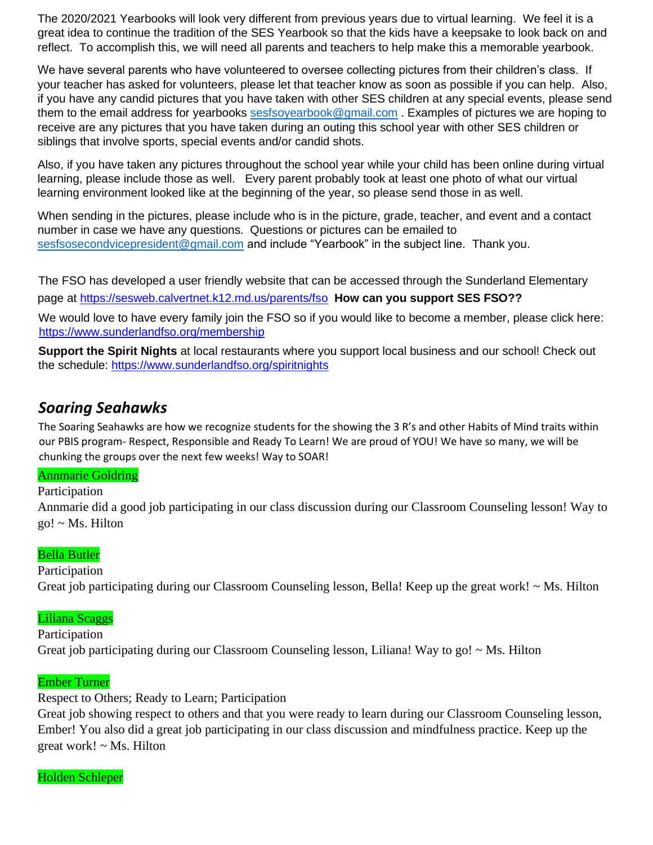The 2020/2021 Yearbooks will look very different from previous years due to virtual learning. We feel it is a great idea to continue the tradition of the SES Yearbook so that the kids have a keepsake to look back on and reflect. To accomplish this, we will need all parents and teachers to help make this a memorable yearbook.

We have several parents who have volunteered to oversee collecting pictures from their children's class. If your teacher has asked for volunteers, please let that teacher know as soon as possible if you can help. Also, if you have any candid pictures that you have taken with other SES children at any special events, please send them to the email address for yearbooks [sesfsoyearbook@gmail.com](mailto:sesfsoyearbook@gmail.com) . Examples of pictures we are hoping to receive are any pictures that you have taken during an outing this school year with other SES children or siblings that involve sports, special events and/or candid shots.

Also, if you have taken any pictures throughout the school year while your child has been online during virtual learning, please include those as well. Every parent probably took at least one photo of what our virtual learning environment looked like at the beginning of the year, so please send those in as well.

When sending in the pictures, please include who is in the picture, grade, teacher, and event and a contact number in case we have any questions. Questions or pictures can be emailed to [sesfsosecondvicepresident@gmail.com](mailto:sesfsosecondvicepresident@gmail.com) and include "Yearbook" in the subject line. Thank you.

The FSO has developed a user friendly website that can be accessed through the Sunderland Elementary page at<https://sesweb.calvertnet.k12.md.us/parents/fso> **[H](https://sesweb.calvertnet.k12.md.us/parents/fso)ow can you support SES FSO??**  We would love to have every family join the FSO so if you would like to become a member, please click here: <https://www.sunderlandfso.org/membership>

**Support the Spirit Nights** at local restaurants where you support local business and our school! Check out the schedule:<https://www.sunderlandfso.org/spiritnights>

## *Soaring Seahawks*

The Soaring Seahawks are how we recognize students for the showing the 3 R's and other Habits of Mind traits within our PBIS program- Respect, Responsible and Ready To Learn! We are proud of YOU! We have so many, we will be chunking the groups over the next few weeks! Way to SOAR!

#### Annmarie Goldring

#### Participation

Annmarie did a good job participating in our class discussion during our Classroom Counseling lesson! Way to go! ~ Ms. Hilton

#### Bella Butler

Participation Great job participating during our Classroom Counseling lesson, Bella! Keep up the great work! ~ Ms. Hilton

#### Liliana Scaggs

Participation Great job participating during our Classroom Counseling lesson, Liliana! Way to go! ~ Ms. Hilton

#### Ember Turner

Respect to Others; Ready to Learn; Participation

Great job showing respect to others and that you were ready to learn during our Classroom Counseling lesson, Ember! You also did a great job participating in our class discussion and mindfulness practice. Keep up the great work! ~ Ms. Hilton

#### Holden Schleper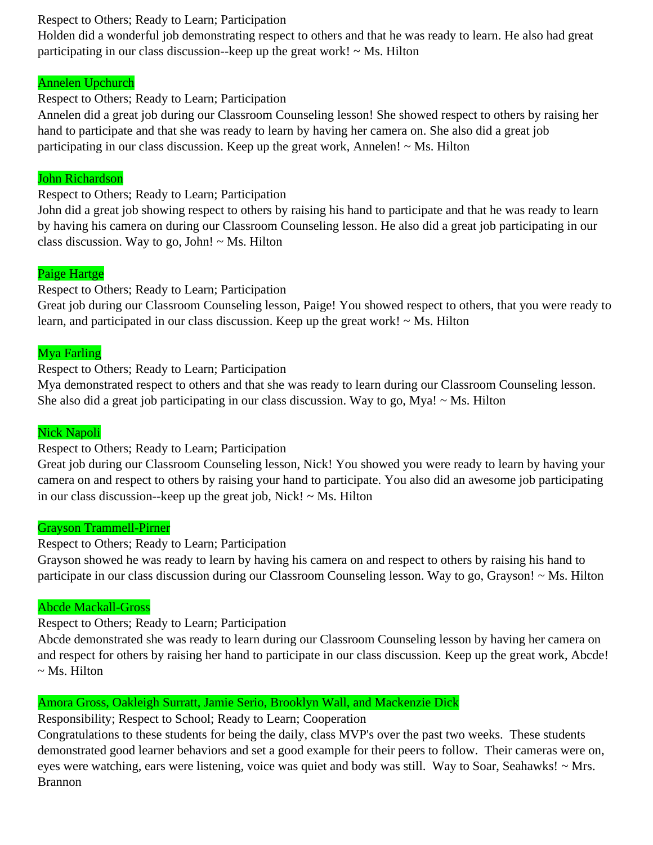#### Respect to Others; Ready to Learn; Participation

Holden did a wonderful job demonstrating respect to others and that he was ready to learn. He also had great participating in our class discussion--keep up the great work!  $\sim$  Ms. Hilton

#### Annelen Upchurch

#### Respect to Others; Ready to Learn; Participation

Annelen did a great job during our Classroom Counseling lesson! She showed respect to others by raising her hand to participate and that she was ready to learn by having her camera on. She also did a great job participating in our class discussion. Keep up the great work, Annelen!  $\sim$  Ms. Hilton

#### John Richardson

Respect to Others; Ready to Learn; Participation

John did a great job showing respect to others by raising his hand to participate and that he was ready to learn by having his camera on during our Classroom Counseling lesson. He also did a great job participating in our class discussion. Way to go, John!  $\sim$  Ms. Hilton

#### Paige Hartge

#### Respect to Others; Ready to Learn; Participation

Great job during our Classroom Counseling lesson, Paige! You showed respect to others, that you were ready to learn, and participated in our class discussion. Keep up the great work!  $\sim$  Ms. Hilton

#### Mya Farling

Respect to Others; Ready to Learn; Participation

Mya demonstrated respect to others and that she was ready to learn during our Classroom Counseling lesson. She also did a great job participating in our class discussion. Way to go, Mya!  $\sim$  Ms. Hilton

#### Nick Napoli

#### Respect to Others; Ready to Learn; Participation

Great job during our Classroom Counseling lesson, Nick! You showed you were ready to learn by having your camera on and respect to others by raising your hand to participate. You also did an awesome job participating in our class discussion--keep up the great job, Nick!  $\sim$  Ms. Hilton

#### Grayson Trammell-Pirner

#### Respect to Others; Ready to Learn; Participation

Grayson showed he was ready to learn by having his camera on and respect to others by raising his hand to participate in our class discussion during our Classroom Counseling lesson. Way to go, Grayson! ~ Ms. Hilton

#### Abcde Mackall-Gross

#### Respect to Others; Ready to Learn; Participation

Abcde demonstrated she was ready to learn during our Classroom Counseling lesson by having her camera on and respect for others by raising her hand to participate in our class discussion. Keep up the great work, Abcde!  $\sim$  Ms. Hilton

#### Amora Gross, Oakleigh Surratt, Jamie Serio, Brooklyn Wall, and Mackenzie Dick

#### Responsibility; Respect to School; Ready to Learn; Cooperation

Congratulations to these students for being the daily, class MVP's over the past two weeks. These students demonstrated good learner behaviors and set a good example for their peers to follow. Their cameras were on, eyes were watching, ears were listening, voice was quiet and body was still. Way to Soar, Seahawks! ~ Mrs. Brannon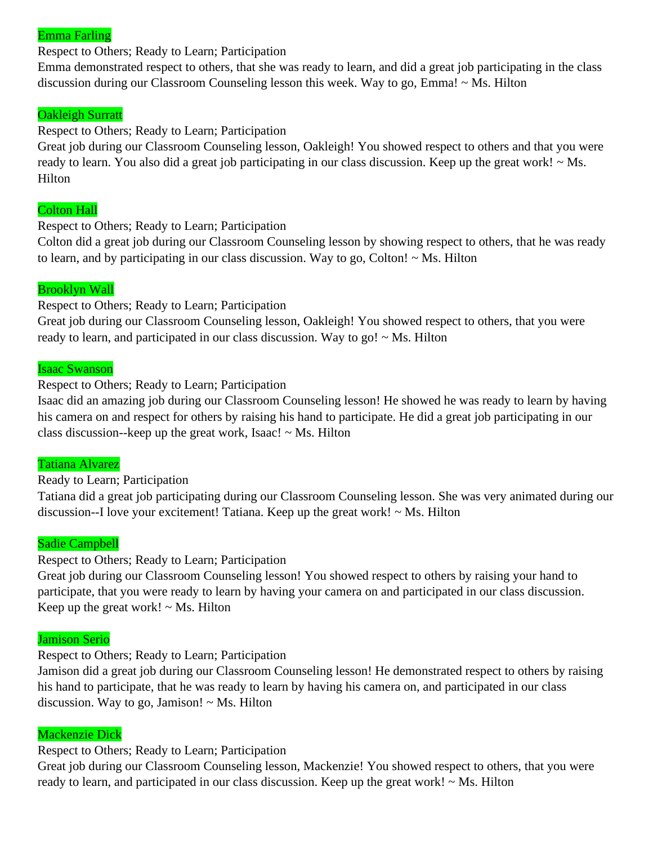#### Emma Farling

#### Respect to Others; Ready to Learn; Participation

Emma demonstrated respect to others, that she was ready to learn, and did a great job participating in the class discussion during our Classroom Counseling lesson this week. Way to go, Emma! ~ Ms. Hilton

#### Oakleigh Surratt

#### Respect to Others; Ready to Learn; Participation

Great job during our Classroom Counseling lesson, Oakleigh! You showed respect to others and that you were ready to learn. You also did a great job participating in our class discussion. Keep up the great work!  $\sim$  Ms. **Hilton** 

#### Colton Hall

Respect to Others; Ready to Learn; Participation

Colton did a great job during our Classroom Counseling lesson by showing respect to others, that he was ready to learn, and by participating in our class discussion. Way to go, Colton! ~ Ms. Hilton

#### Brooklyn Wall

Respect to Others; Ready to Learn; Participation

Great job during our Classroom Counseling lesson, Oakleigh! You showed respect to others, that you were ready to learn, and participated in our class discussion. Way to go!  $\sim$  Ms. Hilton

#### Isaac Swanson

Respect to Others; Ready to Learn; Participation

Isaac did an amazing job during our Classroom Counseling lesson! He showed he was ready to learn by having his camera on and respect for others by raising his hand to participate. He did a great job participating in our class discussion--keep up the great work, Isaac!  $\sim$  Ms. Hilton

#### Tatiana Alvarez

#### Ready to Learn; Participation

Tatiana did a great job participating during our Classroom Counseling lesson. She was very animated during our discussion--I love your excitement! Tatiana. Keep up the great work! ~ Ms. Hilton

#### Sadie Campbell

#### Respect to Others; Ready to Learn; Participation

Great job during our Classroom Counseling lesson! You showed respect to others by raising your hand to participate, that you were ready to learn by having your camera on and participated in our class discussion. Keep up the great work!  $\sim$  Ms. Hilton

#### Jamison Serio

Respect to Others; Ready to Learn; Participation

Jamison did a great job during our Classroom Counseling lesson! He demonstrated respect to others by raising his hand to participate, that he was ready to learn by having his camera on, and participated in our class discussion. Way to go, Jamison!  $\sim$  Ms. Hilton

#### Mackenzie Dick

#### Respect to Others; Ready to Learn; Participation

Great job during our Classroom Counseling lesson, Mackenzie! You showed respect to others, that you were ready to learn, and participated in our class discussion. Keep up the great work!  $\sim$  Ms. Hilton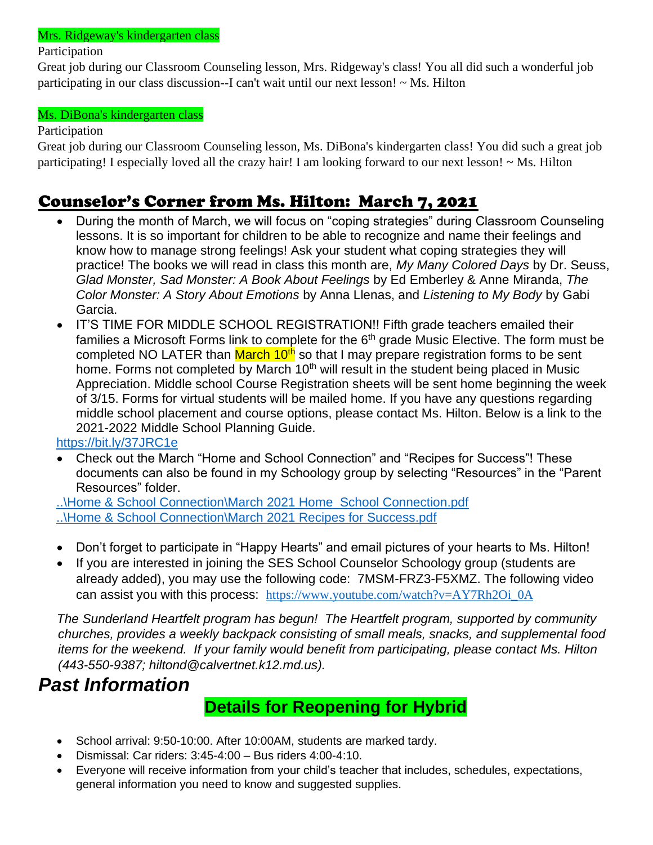#### Mrs. Ridgeway's kindergarten class

#### Participation

Great job during our Classroom Counseling lesson, Mrs. Ridgeway's class! You all did such a wonderful job participating in our class discussion--I can't wait until our next lesson! ~ Ms. Hilton

#### Ms. DiBona's kindergarten class

#### Participation

Great job during our Classroom Counseling lesson, Ms. DiBona's kindergarten class! You did such a great job participating! I especially loved all the crazy hair! I am looking forward to our next lesson! ~ Ms. Hilton

## Counselor's Corner from Ms. Hilton: March 7, 2021

- During the month of March, we will focus on "coping strategies" during Classroom Counseling lessons. It is so important for children to be able to recognize and name their feelings and know how to manage strong feelings! Ask your student what coping strategies they will practice! The books we will read in class this month are, *My Many Colored Days* by Dr. Seuss, *Glad Monster, Sad Monster: A Book About Feelings* by Ed Emberley & Anne Miranda, *The Color Monster: A Story About Emotions* by Anna Llenas, and *Listening to My Body* by Gabi Garcia.
- IT'S TIME FOR MIDDLE SCHOOL REGISTRATION!! Fifth grade teachers emailed their families a Microsoft Forms link to complete for the  $6<sup>th</sup>$  grade Music Elective. The form must be completed NO LATER than March 10<sup>th</sup> so that I may prepare registration forms to be sent home. Forms not completed by March  $10<sup>th</sup>$  will result in the student being placed in Music Appreciation. Middle school Course Registration sheets will be sent home beginning the week of 3/15. Forms for virtual students will be mailed home. If you have any questions regarding middle school placement and course options, please contact Ms. Hilton. Below is a link to the 2021-2022 Middle School Planning Guide.

<https://bit.ly/37JRC1e>

• Check out the March "Home and School Connection" and "Recipes for Success"! These documents can also be found in my Schoology group by selecting "Resources" in the "Parent Resources" folder.

[..\Home & School Connection\March 2021 Home School Connection.pdf](file:///C:/Users/hiltond/Documents/Home%20&%20School%20Connection/March%202021%20Home%20%20School%20Connection.pdf) [..\Home & School Connection\March 2021 Recipes for Success.pdf](file:///C:/Users/hiltond/Documents/Home%20&%20School%20Connection/March%202021%20Recipes%20for%20Success.pdf)

- Don't forget to participate in "Happy Hearts" and email pictures of your hearts to Ms. Hilton!
- If you are interested in joining the SES School Counselor Schoology group (students are already added), you may use the following code: 7MSM-FRZ3-F5XMZ. The following video can assist you with this process: [https://www.youtube.com/watch?v=AY7Rh2Oi\\_0A](https://nam02.safelinks.protection.outlook.com/?url=https%3A%2F%2Fwww.youtube.com%2Fwatch%3Fv%3DAY7Rh2Oi_0A&data=02%7C01%7Chiltond%40calvertnet.k12.md.us%7C5c552a6d21884304e66a08d8661f1dab%7C022d9fca60a34aac9a90c18e51ac527e%7C0%7C0%7C637371631107238187&sdata=bpLbkraUJqb%2FK3dKxzYSES6%2F02iDoam9HlzcVJ7DUtM%3D&reserved=0)

*The Sunderland Heartfelt program has begun! The Heartfelt program, supported by community churches, provides a weekly backpack consisting of small meals, snacks, and supplemental food items for the weekend. If your family would benefit from participating, please contact Ms. Hilton (443-550-9387; hiltond@calvertnet.k12.md.us).*

## *Past Information*

## **Details for Reopening for Hybrid**

- School arrival: 9:50-10:00. After 10:00AM, students are marked tardy.
- Dismissal: Car riders: 3:45-4:00 Bus riders 4:00-4:10.
- Everyone will receive information from your child's teacher that includes, schedules, expectations, general information you need to know and suggested supplies.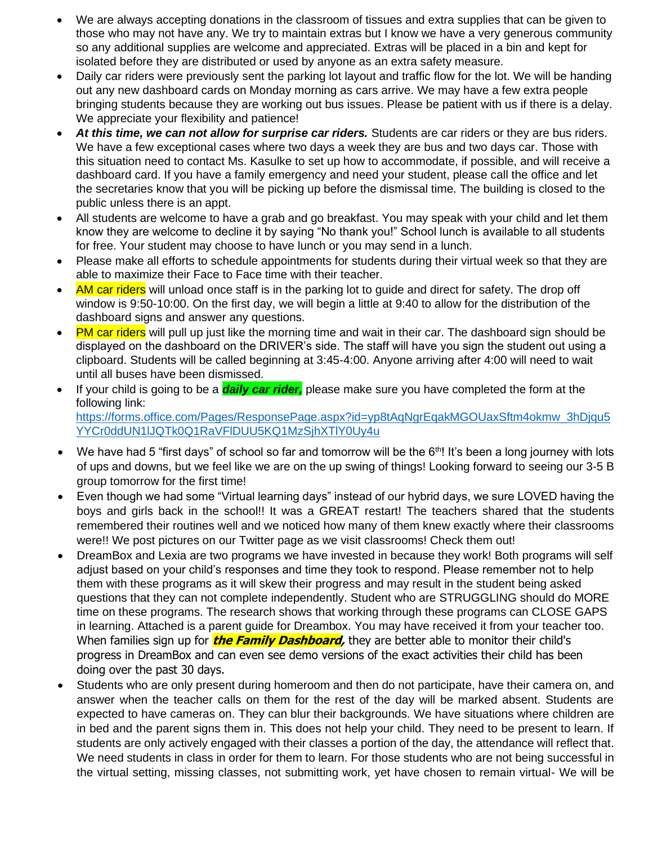- We are always accepting donations in the classroom of tissues and extra supplies that can be given to those who may not have any. We try to maintain extras but I know we have a very generous community so any additional supplies are welcome and appreciated. Extras will be placed in a bin and kept for isolated before they are distributed or used by anyone as an extra safety measure.
- Daily car riders were previously sent the parking lot layout and traffic flow for the lot. We will be handing out any new dashboard cards on Monday morning as cars arrive. We may have a few extra people bringing students because they are working out bus issues. Please be patient with us if there is a delay. We appreciate your flexibility and patience!
- *At this time, we can not allow for surprise car riders.* Students are car riders or they are bus riders. We have a few exceptional cases where two days a week they are bus and two days car. Those with this situation need to contact Ms. Kasulke to set up how to accommodate, if possible, and will receive a dashboard card. If you have a family emergency and need your student, please call the office and let the secretaries know that you will be picking up before the dismissal time. The building is closed to the public unless there is an appt.
- All students are welcome to have a grab and go breakfast. You may speak with your child and let them know they are welcome to decline it by saying "No thank you!" School lunch is available to all students for free. Your student may choose to have lunch or you may send in a lunch.
- Please make all efforts to schedule appointments for students during their virtual week so that they are able to maximize their Face to Face time with their teacher.
- AM car riders will unload once staff is in the parking lot to quide and direct for safety. The drop off window is 9:50-10:00. On the first day, we will begin a little at 9:40 to allow for the distribution of the dashboard signs and answer any questions.
- PM car riders will pull up just like the morning time and wait in their car. The dashboard sign should be displayed on the dashboard on the DRIVER's side. The staff will have you sign the student out using a clipboard. Students will be called beginning at 3:45-4:00. Anyone arriving after 4:00 will need to wait until all buses have been dismissed.
- If your child is going to be a *daily car rider,* please make sure you have completed the form at the following link: https://forms.office.com/Pages/ResponsePage.aspx?id=yp8tAgNgrEgakMGOUaxSftm4okmw\_3hDjqu5 [YYCr0ddUN1lJQTk0Q1RaVFlDUU5KQ1MzSjhXTlY0Uy4u](https://forms.office.com/Pages/ResponsePage.aspx?id=yp8tAqNgrEqakMGOUaxSftm4okmw_3hDjqu5YYCr0ddUN1lJQTk0Q1RaVFlDUU5KQ1MzSjhXTlY0Uy4u)
- We have had 5 "first days" of school so far and tomorrow will be the  $6<sup>th</sup>!$ ! It's been a long journey with lots of ups and downs, but we feel like we are on the up swing of things! Looking forward to seeing our 3-5 B group tomorrow for the first time!
- Even though we had some "Virtual learning days" instead of our hybrid days, we sure LOVED having the boys and girls back in the school!! It was a GREAT restart! The teachers shared that the students remembered their routines well and we noticed how many of them knew exactly where their classrooms were!! We post pictures on our Twitter page as we visit classrooms! Check them out!
- DreamBox and Lexia are two programs we have invested in because they work! Both programs will self adjust based on your child's responses and time they took to respond. Please remember not to help them with these programs as it will skew their progress and may result in the student being asked questions that they can not complete independently. Student who are STRUGGLING should do MORE time on these programs. The research shows that working through these programs can CLOSE GAPS in learning. Attached is a parent guide for Dreambox. You may have received it from your teacher too. When families sign up for **the Family Dashboard**, they are better able to monitor their child's progress in DreamBox and can even see demo versions of the exact activities their child has been doing over the past 30 days.
- Students who are only present during homeroom and then do not participate, have their camera on, and answer when the teacher calls on them for the rest of the day will be marked absent. Students are expected to have cameras on. They can blur their backgrounds. We have situations where children are in bed and the parent signs them in. This does not help your child. They need to be present to learn. If students are only actively engaged with their classes a portion of the day, the attendance will reflect that. We need students in class in order for them to learn. For those students who are not being successful in the virtual setting, missing classes, not submitting work, yet have chosen to remain virtual- We will be